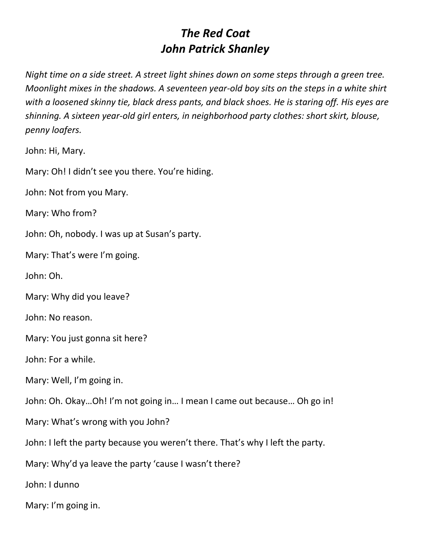## *The Red Coat John Patrick Shanley*

*Night time on a side street. A street light shines down on some steps through a green tree. Moonlight mixes in the shadows. A seventeen year-old boy sits on the steps in a white shirt with a loosened skinny tie, black dress pants, and black shoes. He is staring off. His eyes are shinning. A sixteen year-old girl enters, in neighborhood party clothes: short skirt, blouse, penny loafers.* 

John: Hi, Mary.

Mary: Oh! I didn't see you there. You're hiding.

John: Not from you Mary.

Mary: Who from?

John: Oh, nobody. I was up at Susan's party.

Mary: That's were I'm going.

John: Oh.

Mary: Why did you leave?

John: No reason.

Mary: You just gonna sit here?

John: For a while.

Mary: Well, I'm going in.

John: Oh. Okay…Oh! I'm not going in… I mean I came out because… Oh go in!

Mary: What's wrong with you John?

John: I left the party because you weren't there. That's why I left the party.

Mary: Why'd ya leave the party 'cause I wasn't there?

John: I dunno

Mary: I'm going in.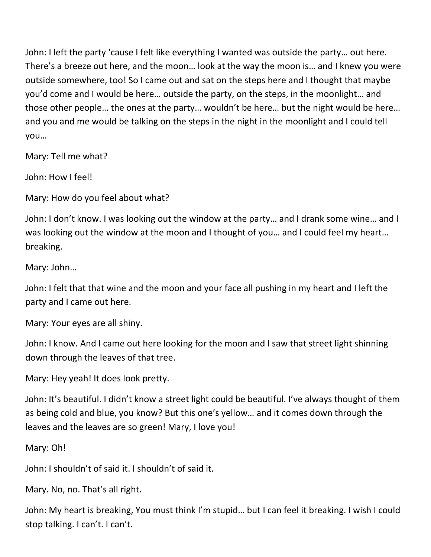John: I left the party 'cause I felt like everything I wanted was outside the party… out here. There's a breeze out here, and the moon… look at the way the moon is… and I knew you were outside somewhere, too! So I came out and sat on the steps here and I thought that maybe you'd come and I would be here… outside the party, on the steps, in the moonlight… and those other people… the ones at the party… wouldn't be here… but the night would be here… and you and me would be talking on the steps in the night in the moonlight and I could tell you…

Mary: Tell me what?

John: How I feel!

Mary: How do you feel about what?

John: I don't know. I was looking out the window at the party… and I drank some wine… and I was looking out the window at the moon and I thought of you… and I could feel my heart… breaking.

Mary: John…

John: I felt that that wine and the moon and your face all pushing in my heart and I left the party and I came out here.

Mary: Your eyes are all shiny.

John: I know. And I came out here looking for the moon and I saw that street light shinning down through the leaves of that tree.

Mary: Hey yeah! It does look pretty.

John: It's beautiful. I didn't know a street light could be beautiful. I've always thought of them as being cold and blue, you know? But this one's yellow… and it comes down through the leaves and the leaves are so green! Mary, I love you!

Mary: Oh!

John: I shouldn't of said it. I shouldn't of said it.

Mary. No, no. That's all right.

John: My heart is breaking, You must think I'm stupid… but I can feel it breaking. I wish I could stop talking. I can't. I can't.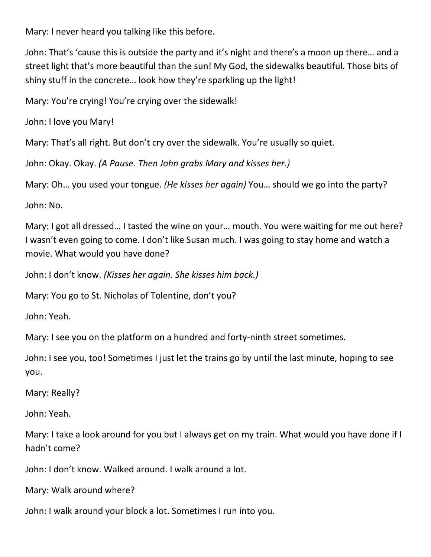Mary: I never heard you talking like this before.

John: That's 'cause this is outside the party and it's night and there's a moon up there… and a street light that's more beautiful than the sun! My God, the sidewalks beautiful. Those bits of shiny stuff in the concrete… look how they're sparkling up the light!

Mary: You're crying! You're crying over the sidewalk!

John: I love you Mary!

Mary: That's all right. But don't cry over the sidewalk. You're usually so quiet.

John: Okay. Okay. *(A Pause. Then John grabs Mary and kisses her.)*

Mary: Oh… you used your tongue. *(He kisses her again)* You… should we go into the party?

John: No.

Mary: I got all dressed… I tasted the wine on your… mouth. You were waiting for me out here? I wasn't even going to come. I don't like Susan much. I was going to stay home and watch a movie. What would you have done?

John: I don't know. *(Kisses her again. She kisses him back.)*

Mary: You go to St. Nicholas of Tolentine, don't you?

John: Yeah.

Mary: I see you on the platform on a hundred and forty-ninth street sometimes.

John: I see you, too! Sometimes I just let the trains go by until the last minute, hoping to see you.

Mary: Really?

John: Yeah.

Mary: I take a look around for you but I always get on my train. What would you have done if I hadn't come?

John: I don't know. Walked around. I walk around a lot.

Mary: Walk around where?

John: I walk around your block a lot. Sometimes I run into you.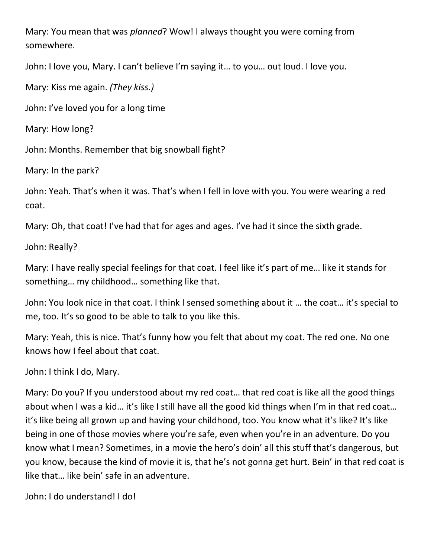Mary: You mean that was *planned*? Wow! I always thought you were coming from somewhere.

John: I love you, Mary. I can't believe I'm saying it… to you… out loud. I love you.

Mary: Kiss me again. *(They kiss.)*

John: I've loved you for a long time

Mary: How long?

John: Months. Remember that big snowball fight?

Mary: In the park?

John: Yeah. That's when it was. That's when I fell in love with you. You were wearing a red coat.

Mary: Oh, that coat! I've had that for ages and ages. I've had it since the sixth grade.

John: Really?

Mary: I have really special feelings for that coat. I feel like it's part of me… like it stands for something… my childhood… something like that.

John: You look nice in that coat. I think I sensed something about it … the coat… it's special to me, too. It's so good to be able to talk to you like this.

Mary: Yeah, this is nice. That's funny how you felt that about my coat. The red one. No one knows how I feel about that coat.

John: I think I do, Mary.

Mary: Do you? If you understood about my red coat… that red coat is like all the good things about when I was a kid… it's like I still have all the good kid things when I'm in that red coat… it's like being all grown up and having your childhood, too. You know what it's like? It's like being in one of those movies where you're safe, even when you're in an adventure. Do you know what I mean? Sometimes, in a movie the hero's doin' all this stuff that's dangerous, but you know, because the kind of movie it is, that he's not gonna get hurt. Bein' in that red coat is like that… like bein' safe in an adventure.

John: I do understand! I do!